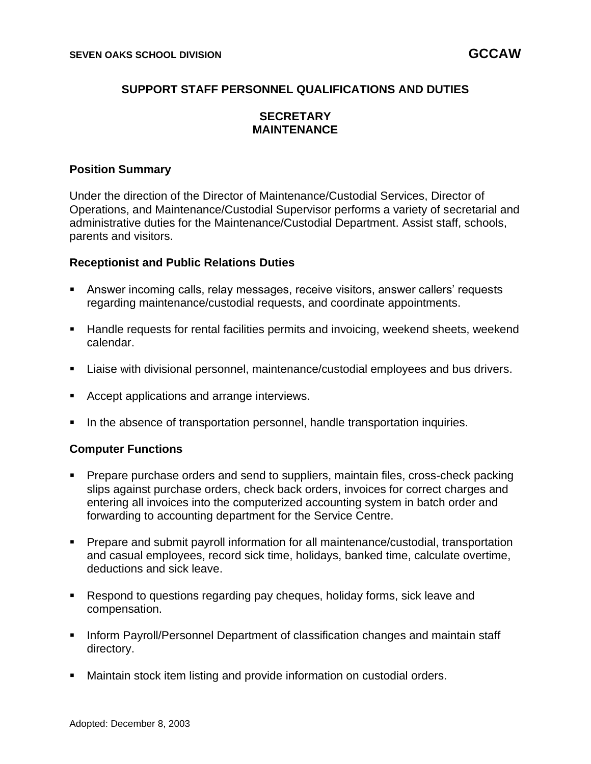# **SUPPORT STAFF PERSONNEL QUALIFICATIONS AND DUTIES**

# **SECRETARY MAINTENANCE**

#### **Position Summary**

Under the direction of the Director of Maintenance/Custodial Services, Director of Operations, and Maintenance/Custodial Supervisor performs a variety of secretarial and administrative duties for the Maintenance/Custodial Department. Assist staff, schools, parents and visitors.

#### **Receptionist and Public Relations Duties**

- **E** Answer incoming calls, relay messages, receive visitors, answer callers' requests regarding maintenance/custodial requests, and coordinate appointments.
- Handle requests for rental facilities permits and invoicing, weekend sheets, weekend calendar.
- Liaise with divisional personnel, maintenance/custodial employees and bus drivers.
- Accept applications and arrange interviews.
- In the absence of transportation personnel, handle transportation inquiries.

#### **Computer Functions**

- **Prepare purchase orders and send to suppliers, maintain files, cross-check packing** slips against purchase orders, check back orders, invoices for correct charges and entering all invoices into the computerized accounting system in batch order and forwarding to accounting department for the Service Centre.
- Prepare and submit payroll information for all maintenance/custodial, transportation and casual employees, record sick time, holidays, banked time, calculate overtime, deductions and sick leave.
- Respond to questions regarding pay cheques, holiday forms, sick leave and compensation.
- Inform Payroll/Personnel Department of classification changes and maintain staff directory.
- Maintain stock item listing and provide information on custodial orders.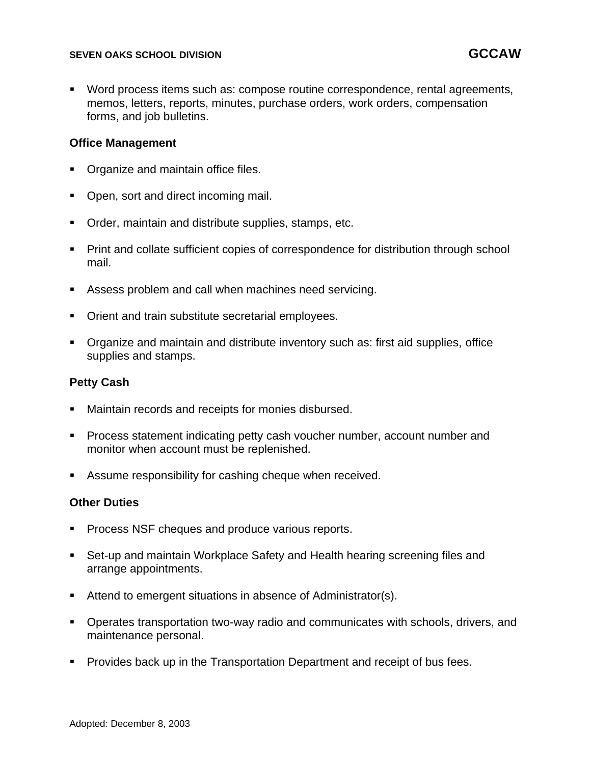#### **SEVEN OAKS SCHOOL DIVISION GCCAW**

Word process items such as: compose routine correspondence, rental agreements, memos, letters, reports, minutes, purchase orders, work orders, compensation forms, and job bulletins.

#### **Office Management**

- Organize and maintain office files.
- Open, sort and direct incoming mail.
- Order, maintain and distribute supplies, stamps, etc.
- Print and collate sufficient copies of correspondence for distribution through school mail.
- Assess problem and call when machines need servicing.
- Orient and train substitute secretarial employees.
- Organize and maintain and distribute inventory such as: first aid supplies, office supplies and stamps.

# **Petty Cash**

- Maintain records and receipts for monies disbursed.
- Process statement indicating petty cash voucher number, account number and monitor when account must be replenished.
- Assume responsibility for cashing cheque when received.

# **Other Duties**

- Process NSF cheques and produce various reports.
- Set-up and maintain Workplace Safety and Health hearing screening files and arrange appointments.
- Attend to emergent situations in absence of Administrator(s).
- Operates transportation two-way radio and communicates with schools, drivers, and maintenance personal.
- Provides back up in the Transportation Department and receipt of bus fees.